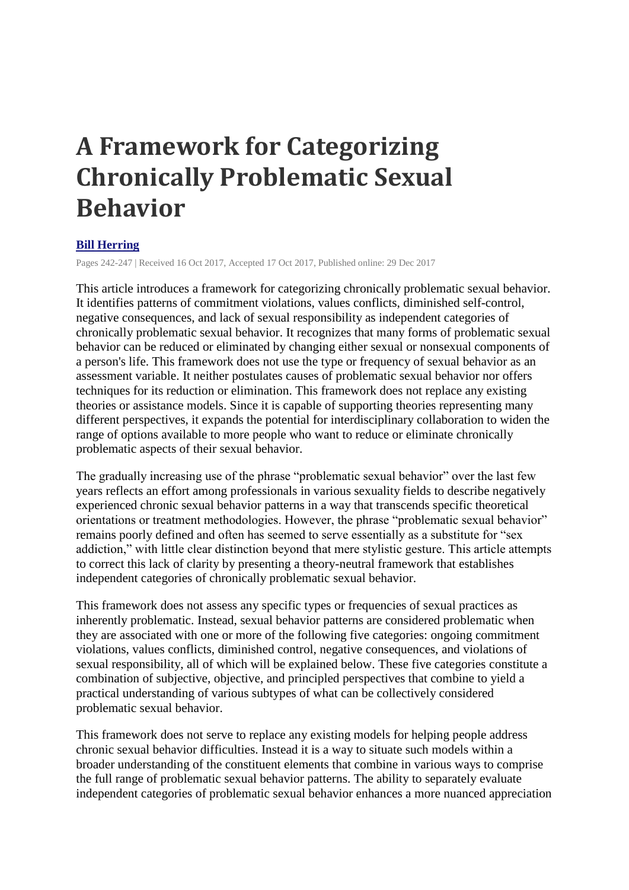# **A Framework for Categorizing Chronically Problematic Sexual Behavior**

#### **[Bill Herring](https://tandfonline.com/author/Herring%2C+Bill)**

Pages 242-247 | Received 16 Oct 2017, Accepted 17 Oct 2017, Published online: 29 Dec 2017

This article introduces a framework for categorizing chronically problematic sexual behavior. It identifies patterns of commitment violations, values conflicts, diminished self-control, negative consequences, and lack of sexual responsibility as independent categories of chronically problematic sexual behavior. It recognizes that many forms of problematic sexual behavior can be reduced or eliminated by changing either sexual or nonsexual components of a person's life. This framework does not use the type or frequency of sexual behavior as an assessment variable. It neither postulates causes of problematic sexual behavior nor offers techniques for its reduction or elimination. This framework does not replace any existing theories or assistance models. Since it is capable of supporting theories representing many different perspectives, it expands the potential for interdisciplinary collaboration to widen the range of options available to more people who want to reduce or eliminate chronically problematic aspects of their sexual behavior.

The gradually increasing use of the phrase "problematic sexual behavior" over the last few years reflects an effort among professionals in various sexuality fields to describe negatively experienced chronic sexual behavior patterns in a way that transcends specific theoretical orientations or treatment methodologies. However, the phrase "problematic sexual behavior" remains poorly defined and often has seemed to serve essentially as a substitute for "sex addiction," with little clear distinction beyond that mere stylistic gesture. This article attempts to correct this lack of clarity by presenting a theory-neutral framework that establishes independent categories of chronically problematic sexual behavior.

This framework does not assess any specific types or frequencies of sexual practices as inherently problematic. Instead, sexual behavior patterns are considered problematic when they are associated with one or more of the following five categories: ongoing commitment violations, values conflicts, diminished control, negative consequences, and violations of sexual responsibility, all of which will be explained below. These five categories constitute a combination of subjective, objective, and principled perspectives that combine to yield a practical understanding of various subtypes of what can be collectively considered problematic sexual behavior.

This framework does not serve to replace any existing models for helping people address chronic sexual behavior difficulties. Instead it is a way to situate such models within a broader understanding of the constituent elements that combine in various ways to comprise the full range of problematic sexual behavior patterns. The ability to separately evaluate independent categories of problematic sexual behavior enhances a more nuanced appreciation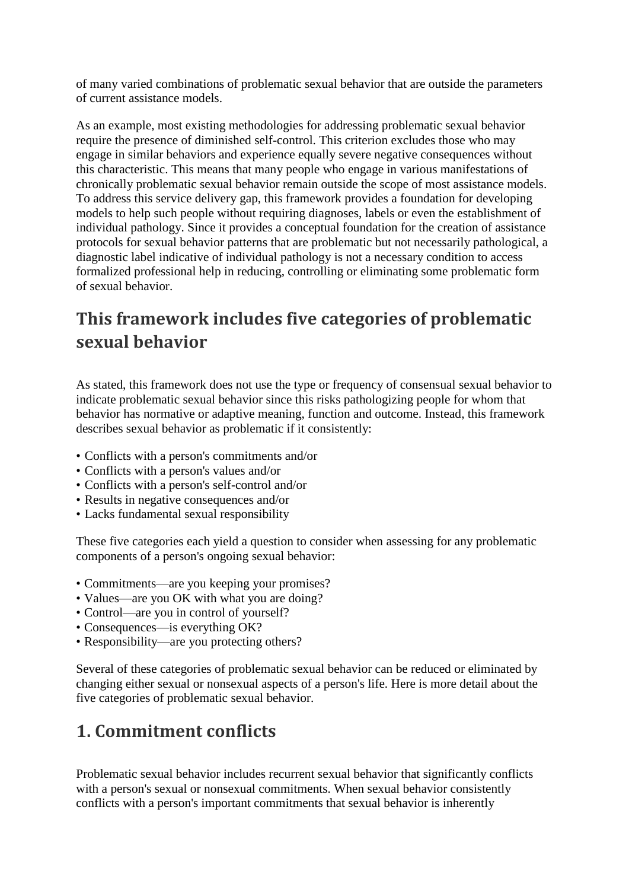of many varied combinations of problematic sexual behavior that are outside the parameters of current assistance models.

As an example, most existing methodologies for addressing problematic sexual behavior require the presence of diminished self-control. This criterion excludes those who may engage in similar behaviors and experience equally severe negative consequences without this characteristic. This means that many people who engage in various manifestations of chronically problematic sexual behavior remain outside the scope of most assistance models. To address this service delivery gap, this framework provides a foundation for developing models to help such people without requiring diagnoses, labels or even the establishment of individual pathology. Since it provides a conceptual foundation for the creation of assistance protocols for sexual behavior patterns that are problematic but not necessarily pathological, a diagnostic label indicative of individual pathology is not a necessary condition to access formalized professional help in reducing, controlling or eliminating some problematic form of sexual behavior.

# **This framework includes five categories of problematic sexual behavior**

As stated, this framework does not use the type or frequency of consensual sexual behavior to indicate problematic sexual behavior since this risks pathologizing people for whom that behavior has normative or adaptive meaning, function and outcome. Instead, this framework describes sexual behavior as problematic if it consistently:

- Conflicts with a person's commitments and/or
- Conflicts with a person's values and/or
- Conflicts with a person's self-control and/or
- Results in negative consequences and/or
- Lacks fundamental sexual responsibility

These five categories each yield a question to consider when assessing for any problematic components of a person's ongoing sexual behavior:

- Commitments—are you keeping your promises?
- Values—are you OK with what you are doing?
- Control—are you in control of yourself?
- Consequences—is everything OK?
- Responsibility—are you protecting others?

Several of these categories of problematic sexual behavior can be reduced or eliminated by changing either sexual or nonsexual aspects of a person's life. Here is more detail about the five categories of problematic sexual behavior.

#### **1. Commitment conflicts**

Problematic sexual behavior includes recurrent sexual behavior that significantly conflicts with a person's sexual or nonsexual commitments. When sexual behavior consistently conflicts with a person's important commitments that sexual behavior is inherently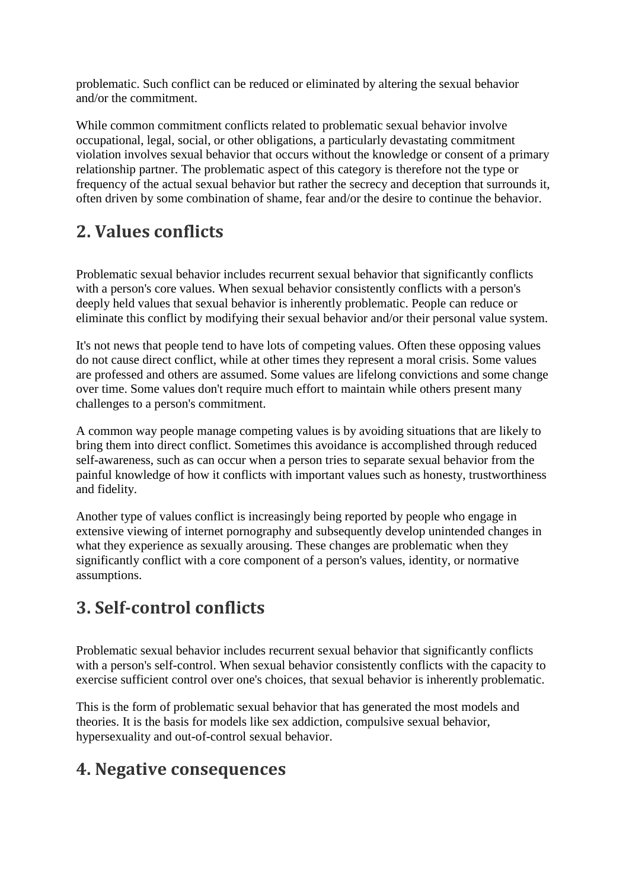problematic. Such conflict can be reduced or eliminated by altering the sexual behavior and/or the commitment.

While common commitment conflicts related to problematic sexual behavior involve occupational, legal, social, or other obligations, a particularly devastating commitment violation involves sexual behavior that occurs without the knowledge or consent of a primary relationship partner. The problematic aspect of this category is therefore not the type or frequency of the actual sexual behavior but rather the secrecy and deception that surrounds it, often driven by some combination of shame, fear and/or the desire to continue the behavior.

### **2. Values conflicts**

Problematic sexual behavior includes recurrent sexual behavior that significantly conflicts with a person's core values. When sexual behavior consistently conflicts with a person's deeply held values that sexual behavior is inherently problematic. People can reduce or eliminate this conflict by modifying their sexual behavior and/or their personal value system.

It's not news that people tend to have lots of competing values. Often these opposing values do not cause direct conflict, while at other times they represent a moral crisis. Some values are professed and others are assumed. Some values are lifelong convictions and some change over time. Some values don't require much effort to maintain while others present many challenges to a person's commitment.

A common way people manage competing values is by avoiding situations that are likely to bring them into direct conflict. Sometimes this avoidance is accomplished through reduced self-awareness, such as can occur when a person tries to separate sexual behavior from the painful knowledge of how it conflicts with important values such as honesty, trustworthiness and fidelity.

Another type of values conflict is increasingly being reported by people who engage in extensive viewing of internet pornography and subsequently develop unintended changes in what they experience as sexually arousing. These changes are problematic when they significantly conflict with a core component of a person's values, identity, or normative assumptions.

# **3. Self-control conflicts**

Problematic sexual behavior includes recurrent sexual behavior that significantly conflicts with a person's self-control. When sexual behavior consistently conflicts with the capacity to exercise sufficient control over one's choices, that sexual behavior is inherently problematic.

This is the form of problematic sexual behavior that has generated the most models and theories. It is the basis for models like sex addiction, compulsive sexual behavior, hypersexuality and out-of-control sexual behavior.

#### **4. Negative consequences**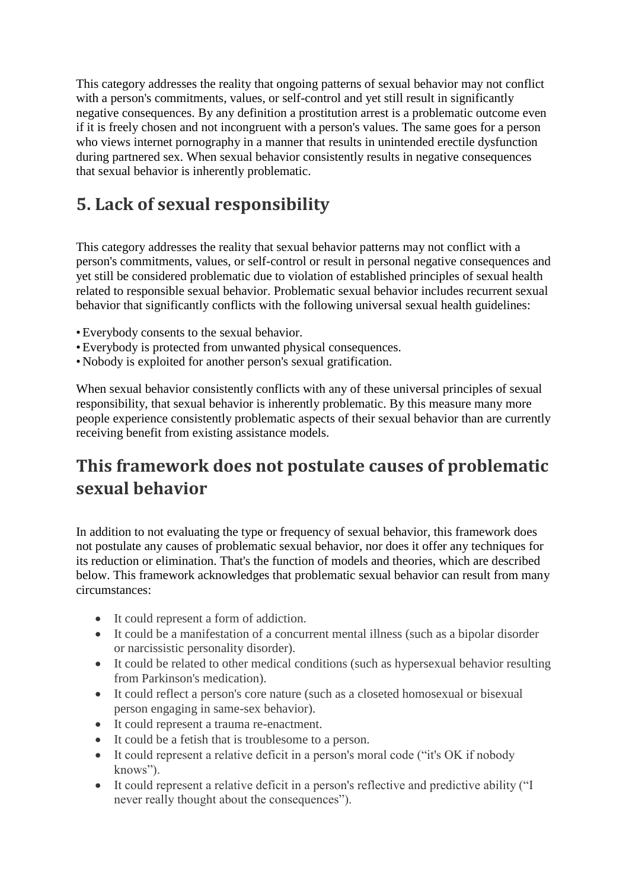This category addresses the reality that ongoing patterns of sexual behavior may not conflict with a person's commitments, values, or self-control and yet still result in significantly negative consequences. By any definition a prostitution arrest is a problematic outcome even if it is freely chosen and not incongruent with a person's values. The same goes for a person who views internet pornography in a manner that results in unintended erectile dysfunction during partnered sex. When sexual behavior consistently results in negative consequences that sexual behavior is inherently problematic.

# **5. Lack of sexual responsibility**

This category addresses the reality that sexual behavior patterns may not conflict with a person's commitments, values, or self-control or result in personal negative consequences and yet still be considered problematic due to violation of established principles of sexual health related to responsible sexual behavior. Problematic sexual behavior includes recurrent sexual behavior that significantly conflicts with the following universal sexual health guidelines:

- Everybody consents to the sexual behavior.
- Everybody is protected from unwanted physical consequences.
- Nobody is exploited for another person's sexual gratification.

When sexual behavior consistently conflicts with any of these universal principles of sexual responsibility, that sexual behavior is inherently problematic. By this measure many more people experience consistently problematic aspects of their sexual behavior than are currently receiving benefit from existing assistance models.

# **This framework does not postulate causes of problematic sexual behavior**

In addition to not evaluating the type or frequency of sexual behavior, this framework does not postulate any causes of problematic sexual behavior, nor does it offer any techniques for its reduction or elimination. That's the function of models and theories, which are described below. This framework acknowledges that problematic sexual behavior can result from many circumstances:

- It could represent a form of addiction.
- It could be a manifestation of a concurrent mental illness (such as a bipolar disorder or narcissistic personality disorder).
- It could be related to other medical conditions (such as hypersexual behavior resulting from Parkinson's medication).
- It could reflect a person's core nature (such as a closeted homosexual or bisexual person engaging in same-sex behavior).
- It could represent a trauma re-enactment.
- It could be a fetish that is troublesome to a person.
- It could represent a relative deficit in a person's moral code ("it's OK if nobody") knows").
- It could represent a relative deficit in a person's reflective and predictive ability ("I never really thought about the consequences").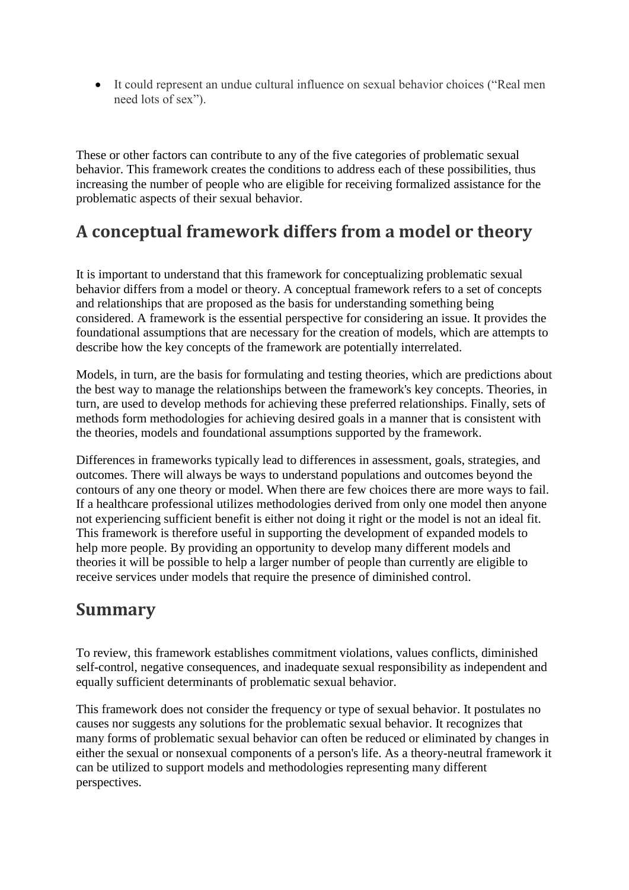• It could represent an undue cultural influence on sexual behavior choices ("Real men need lots of sex").

These or other factors can contribute to any of the five categories of problematic sexual behavior. This framework creates the conditions to address each of these possibilities, thus increasing the number of people who are eligible for receiving formalized assistance for the problematic aspects of their sexual behavior.

### **A conceptual framework differs from a model or theory**

It is important to understand that this framework for conceptualizing problematic sexual behavior differs from a model or theory. A conceptual framework refers to a set of concepts and relationships that are proposed as the basis for understanding something being considered. A framework is the essential perspective for considering an issue. It provides the foundational assumptions that are necessary for the creation of models, which are attempts to describe how the key concepts of the framework are potentially interrelated.

Models, in turn, are the basis for formulating and testing theories, which are predictions about the best way to manage the relationships between the framework's key concepts. Theories, in turn, are used to develop methods for achieving these preferred relationships. Finally, sets of methods form methodologies for achieving desired goals in a manner that is consistent with the theories, models and foundational assumptions supported by the framework.

Differences in frameworks typically lead to differences in assessment, goals, strategies, and outcomes. There will always be ways to understand populations and outcomes beyond the contours of any one theory or model. When there are few choices there are more ways to fail. If a healthcare professional utilizes methodologies derived from only one model then anyone not experiencing sufficient benefit is either not doing it right or the model is not an ideal fit. This framework is therefore useful in supporting the development of expanded models to help more people. By providing an opportunity to develop many different models and theories it will be possible to help a larger number of people than currently are eligible to receive services under models that require the presence of diminished control.

#### **Summary**

To review, this framework establishes commitment violations, values conflicts, diminished self-control, negative consequences, and inadequate sexual responsibility as independent and equally sufficient determinants of problematic sexual behavior.

This framework does not consider the frequency or type of sexual behavior. It postulates no causes nor suggests any solutions for the problematic sexual behavior. It recognizes that many forms of problematic sexual behavior can often be reduced or eliminated by changes in either the sexual or nonsexual components of a person's life. As a theory-neutral framework it can be utilized to support models and methodologies representing many different perspectives.